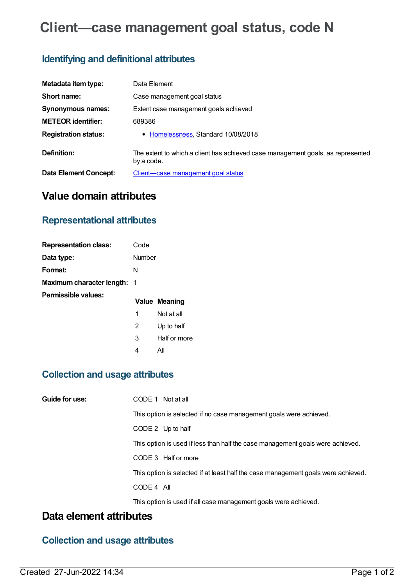# **Client—case management goal status, code N**

#### **Identifying and definitional attributes**

| Metadata item type:         | Data Element                                                                                  |
|-----------------------------|-----------------------------------------------------------------------------------------------|
| Short name:                 | Case management goal status                                                                   |
| Synonymous names:           | Extent case management goals achieved                                                         |
| <b>METEOR identifier:</b>   | 689386                                                                                        |
| <b>Registration status:</b> | • Homelessness, Standard 10/08/2018                                                           |
| Definition:                 | The extent to which a client has achieved case management goals, as represented<br>by a code. |
| Data Element Concept:       | Client—case management goal status                                                            |

# **Value domain attributes**

## **Representational attributes**

| <b>Representation class:</b>       | Code   |               |
|------------------------------------|--------|---------------|
| Data type:                         | Number |               |
| Format:                            | N      |               |
| <b>Maximum character length: 1</b> |        |               |
| Permissible values:                |        |               |
|                                    |        | Value Meaning |
|                                    | 1      | Not at all    |
|                                    | 2      | Up to half    |
|                                    | 3      | Half or more  |

4 All

## **Collection and usage attributes**

| Guide for use: | CODE 1 Not at all                                                                 |
|----------------|-----------------------------------------------------------------------------------|
|                | This option is selected if no case management goals were achieved.                |
|                | CODE 2 Up to half                                                                 |
|                | This option is used if less than half the case management goals were achieved.    |
|                | CODE 3 Half or more                                                               |
|                | This option is selected if at least half the case management goals were achieved. |
|                | CODE 4 All                                                                        |
|                | This option is used if all case management goals were achieved.                   |

#### **Data element attributes**

## **Collection and usage attributes**